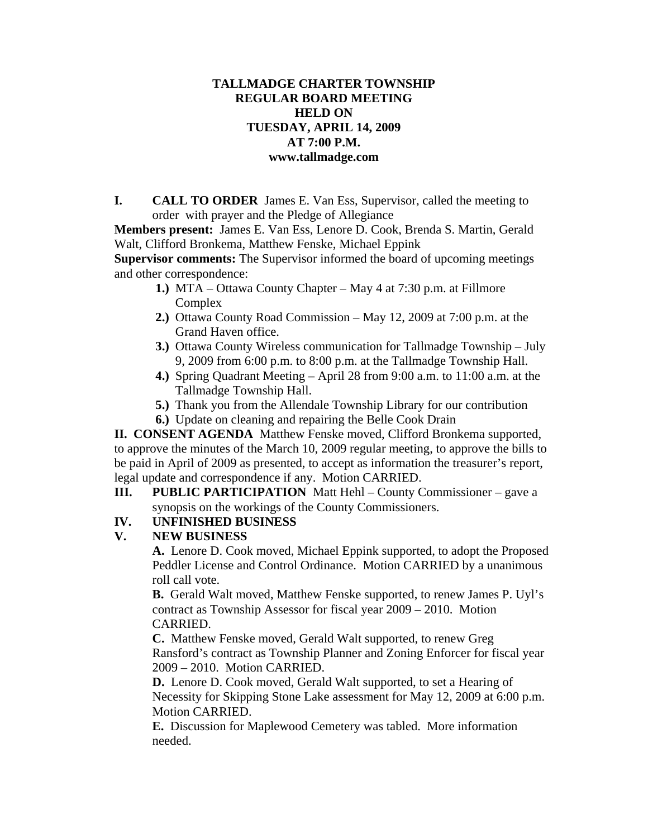### **TALLMADGE CHARTER TOWNSHIP REGULAR BOARD MEETING HELD ON TUESDAY, APRIL 14, 2009 AT 7:00 P.M. www.tallmadge.com**

**I. CALL TO ORDER** James E. Van Ess, Supervisor, called the meeting to order with prayer and the Pledge of Allegiance

**Members present:** James E. Van Ess, Lenore D. Cook, Brenda S. Martin, Gerald Walt, Clifford Bronkema, Matthew Fenske, Michael Eppink

**Supervisor comments:** The Supervisor informed the board of upcoming meetings and other correspondence:

- **1.)** MTA Ottawa County Chapter May 4 at 7:30 p.m. at Fillmore Complex
- **2.)** Ottawa County Road Commission May 12, 2009 at 7:00 p.m. at the Grand Haven office.
- **3.)** Ottawa County Wireless communication for Tallmadge Township July 9, 2009 from 6:00 p.m. to 8:00 p.m. at the Tallmadge Township Hall.
- **4.)** Spring Quadrant Meeting April 28 from 9:00 a.m. to 11:00 a.m. at the Tallmadge Township Hall.
- **5.)** Thank you from the Allendale Township Library for our contribution
- **6.)** Update on cleaning and repairing the Belle Cook Drain

**II. CONSENT AGENDA** Matthew Fenske moved, Clifford Bronkema supported, to approve the minutes of the March 10, 2009 regular meeting, to approve the bills to be paid in April of 2009 as presented, to accept as information the treasurer's report, legal update and correspondence if any. Motion CARRIED.

**III. PUBLIC PARTICIPATION** Matt Hehl – County Commissioner – gave a synopsis on the workings of the County Commissioners.

## **IV. UNFINISHED BUSINESS**

## **V. NEW BUSINESS**

**A.** Lenore D. Cook moved, Michael Eppink supported, to adopt the Proposed Peddler License and Control Ordinance. Motion CARRIED by a unanimous roll call vote.

**B.** Gerald Walt moved, Matthew Fenske supported, to renew James P. Uyl's contract as Township Assessor for fiscal year 2009 – 2010. Motion CARRIED.

**C.** Matthew Fenske moved, Gerald Walt supported, to renew Greg Ransford's contract as Township Planner and Zoning Enforcer for fiscal year 2009 – 2010. Motion CARRIED.

**D.** Lenore D. Cook moved, Gerald Walt supported, to set a Hearing of Necessity for Skipping Stone Lake assessment for May 12, 2009 at 6:00 p.m. Motion CARRIED.

**E.** Discussion for Maplewood Cemetery was tabled. More information needed.